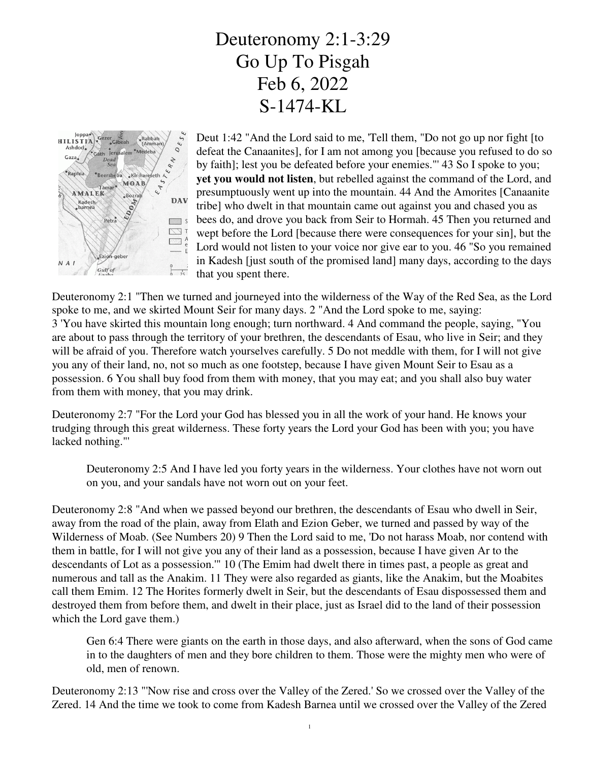## Deuteronomy 2:1-3:29 Go Up To Pisgah Feb 6, 2022 S-1474-KL



Deut 1:42 "And the Lord said to me, 'Tell them, "Do not go up nor fight [to defeat the Canaanites], for I am not among you [because you refused to do so by faith]; lest you be defeated before your enemies."' 43 So I spoke to you; **yet you would not listen**, but rebelled against the command of the Lord, and presumptuously went up into the mountain. 44 And the Amorites [Canaanite tribe] who dwelt in that mountain came out against you and chased you as bees do, and drove you back from Seir to Hormah. 45 Then you returned and wept before the Lord [because there were consequences for your sin], but the Lord would not listen to your voice nor give ear to you. 46 "So you remained in Kadesh [just south of the promised land] many days, according to the days that you spent there.

Deuteronomy 2:1 "Then we turned and journeyed into the wilderness of the Way of the Red Sea, as the Lord spoke to me, and we skirted Mount Seir for many days. 2 "And the Lord spoke to me, saying: 3 'You have skirted this mountain long enough; turn northward. 4 And command the people, saying, "You are about to pass through the territory of your brethren, the descendants of Esau, who live in Seir; and they will be afraid of you. Therefore watch yourselves carefully. 5 Do not meddle with them, for I will not give you any of their land, no, not so much as one footstep, because I have given Mount Seir to Esau as a possession. 6 You shall buy food from them with money, that you may eat; and you shall also buy water from them with money, that you may drink.

Deuteronomy 2:7 "For the Lord your God has blessed you in all the work of your hand. He knows your trudging through this great wilderness. These forty years the Lord your God has been with you; you have lacked nothing."'

Deuteronomy 2:5 And I have led you forty years in the wilderness. Your clothes have not worn out on you, and your sandals have not worn out on your feet.

Deuteronomy 2:8 "And when we passed beyond our brethren, the descendants of Esau who dwell in Seir, away from the road of the plain, away from Elath and Ezion Geber, we turned and passed by way of the Wilderness of Moab. (See Numbers 20) 9 Then the Lord said to me, 'Do not harass Moab, nor contend with them in battle, for I will not give you any of their land as a possession, because I have given Ar to the descendants of Lot as a possession.'" 10 (The Emim had dwelt there in times past, a people as great and numerous and tall as the Anakim. 11 They were also regarded as giants, like the Anakim, but the Moabites call them Emim. 12 The Horites formerly dwelt in Seir, but the descendants of Esau dispossessed them and destroyed them from before them, and dwelt in their place, just as Israel did to the land of their possession which the Lord gave them.)

Gen 6:4 There were giants on the earth in those days, and also afterward, when the sons of God came in to the daughters of men and they bore children to them. Those were the mighty men who were of old, men of renown.

Deuteronomy 2:13 "'Now rise and cross over the Valley of the Zered.' So we crossed over the Valley of the Zered. 14 And the time we took to come from Kadesh Barnea until we crossed over the Valley of the Zered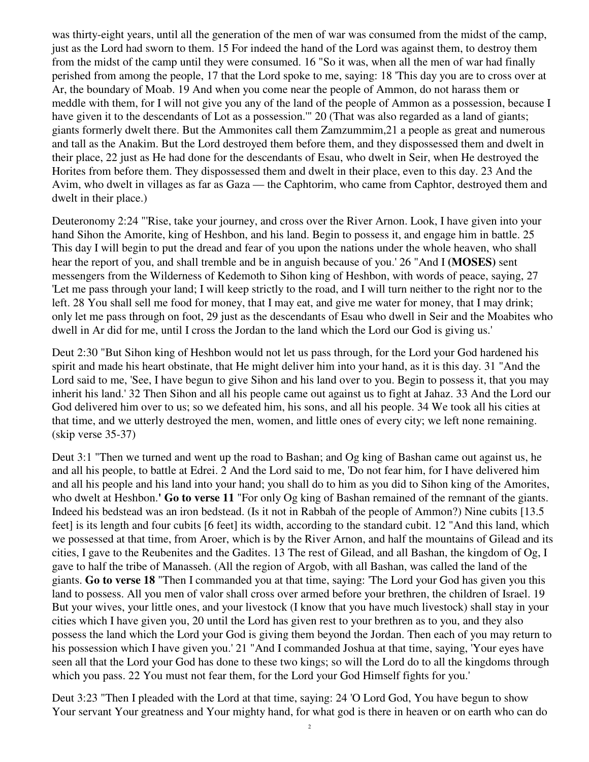was thirty-eight years, until all the generation of the men of war was consumed from the midst of the camp, just as the Lord had sworn to them. 15 For indeed the hand of the Lord was against them, to destroy them from the midst of the camp until they were consumed. 16 "So it was, when all the men of war had finally perished from among the people, 17 that the Lord spoke to me, saying: 18 'This day you are to cross over at Ar, the boundary of Moab. 19 And when you come near the people of Ammon, do not harass them or meddle with them, for I will not give you any of the land of the people of Ammon as a possession, because I have given it to the descendants of Lot as a possession." 20 (That was also regarded as a land of giants; giants formerly dwelt there. But the Ammonites call them Zamzummim,21 a people as great and numerous and tall as the Anakim. But the Lord destroyed them before them, and they dispossessed them and dwelt in their place, 22 just as He had done for the descendants of Esau, who dwelt in Seir, when He destroyed the Horites from before them. They dispossessed them and dwelt in their place, even to this day. 23 And the Avim, who dwelt in villages as far as Gaza — the Caphtorim, who came from Caphtor, destroyed them and dwelt in their place.)

Deuteronomy 2:24 "'Rise, take your journey, and cross over the River Arnon. Look, I have given into your hand Sihon the Amorite, king of Heshbon, and his land. Begin to possess it, and engage him in battle. 25 This day I will begin to put the dread and fear of you upon the nations under the whole heaven, who shall hear the report of you, and shall tremble and be in anguish because of you.' 26 "And I **(MOSES)** sent messengers from the Wilderness of Kedemoth to Sihon king of Heshbon, with words of peace, saying, 27 'Let me pass through your land; I will keep strictly to the road, and I will turn neither to the right nor to the left. 28 You shall sell me food for money, that I may eat, and give me water for money, that I may drink; only let me pass through on foot, 29 just as the descendants of Esau who dwell in Seir and the Moabites who dwell in Ar did for me, until I cross the Jordan to the land which the Lord our God is giving us.'

Deut 2:30 "But Sihon king of Heshbon would not let us pass through, for the Lord your God hardened his spirit and made his heart obstinate, that He might deliver him into your hand, as it is this day. 31 "And the Lord said to me, 'See, I have begun to give Sihon and his land over to you. Begin to possess it, that you may inherit his land.' 32 Then Sihon and all his people came out against us to fight at Jahaz. 33 And the Lord our God delivered him over to us; so we defeated him, his sons, and all his people. 34 We took all his cities at that time, and we utterly destroyed the men, women, and little ones of every city; we left none remaining. (skip verse 35-37)

Deut 3:1 "Then we turned and went up the road to Bashan; and Og king of Bashan came out against us, he and all his people, to battle at Edrei. 2 And the Lord said to me, 'Do not fear him, for I have delivered him and all his people and his land into your hand; you shall do to him as you did to Sihon king of the Amorites, who dwelt at Heshbon.' Go to verse 11 "For only Og king of Bashan remained of the remnant of the giants. Indeed his bedstead was an iron bedstead. (Is it not in Rabbah of the people of Ammon?) Nine cubits [13.5 feet] is its length and four cubits [6 feet] its width, according to the standard cubit. 12 "And this land, which we possessed at that time, from Aroer, which is by the River Arnon, and half the mountains of Gilead and its cities, I gave to the Reubenites and the Gadites. 13 The rest of Gilead, and all Bashan, the kingdom of Og, I gave to half the tribe of Manasseh. (All the region of Argob, with all Bashan, was called the land of the giants. **Go to verse 18** "Then I commanded you at that time, saying: 'The Lord your God has given you this land to possess. All you men of valor shall cross over armed before your brethren, the children of Israel. 19 But your wives, your little ones, and your livestock (I know that you have much livestock) shall stay in your cities which I have given you, 20 until the Lord has given rest to your brethren as to you, and they also possess the land which the Lord your God is giving them beyond the Jordan. Then each of you may return to his possession which I have given you.' 21 "And I commanded Joshua at that time, saying, 'Your eyes have seen all that the Lord your God has done to these two kings; so will the Lord do to all the kingdoms through which you pass. 22 You must not fear them, for the Lord your God Himself fights for you.'

Deut 3:23 "Then I pleaded with the Lord at that time, saying: 24 'O Lord God, You have begun to show Your servant Your greatness and Your mighty hand, for what god is there in heaven or on earth who can do